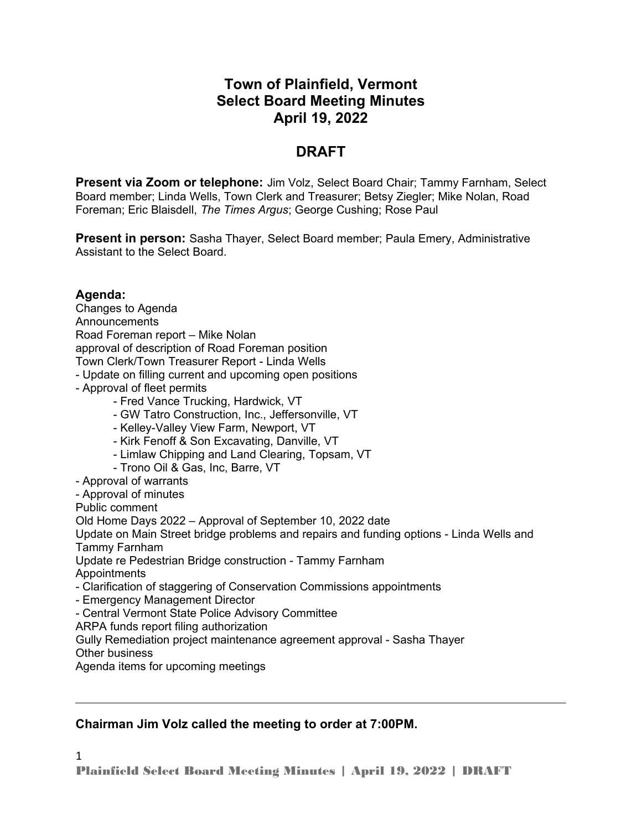# **Town of Plainfield, Vermont Select Board Meeting Minutes April 19, 2022**

# **DRAFT**

**Present via Zoom or telephone:** Jim Volz, Select Board Chair; Tammy Farnham, Select Board member; Linda Wells, Town Clerk and Treasurer; Betsy Ziegler; Mike Nolan, Road Foreman; Eric Blaisdell, *The Times Argus*; George Cushing; Rose Paul

**Present in person:** Sasha Thayer, Select Board member; Paula Emery, Administrative Assistant to the Select Board.

## **Agenda:**

1

Changes to Agenda **Announcements** Road Foreman report – Mike Nolan approval of description of Road Foreman position Town Clerk/Town Treasurer Report - Linda Wells - Update on filling current and upcoming open positions - Approval of fleet permits - Fred Vance Trucking, Hardwick, VT - GW Tatro Construction, Inc., Jeffersonville, VT - Kelley-Valley View Farm, Newport, VT - Kirk Fenoff & Son Excavating, Danville, VT - Limlaw Chipping and Land Clearing, Topsam, VT - Trono Oil & Gas, Inc, Barre, VT - Approval of warrants - Approval of minutes Public comment Old Home Days 2022 – Approval of September 10, 2022 date Update on Main Street bridge problems and repairs and funding options - Linda Wells and Tammy Farnham Update re Pedestrian Bridge construction - Tammy Farnham Appointments - Clarification of staggering of Conservation Commissions appointments - Emergency Management Director - Central Vermont State Police Advisory Committee ARPA funds report filing authorization Gully Remediation project maintenance agreement approval - Sasha Thayer Other business Agenda items for upcoming meetings

## **Chairman Jim Volz called the meeting to order at 7:00PM.**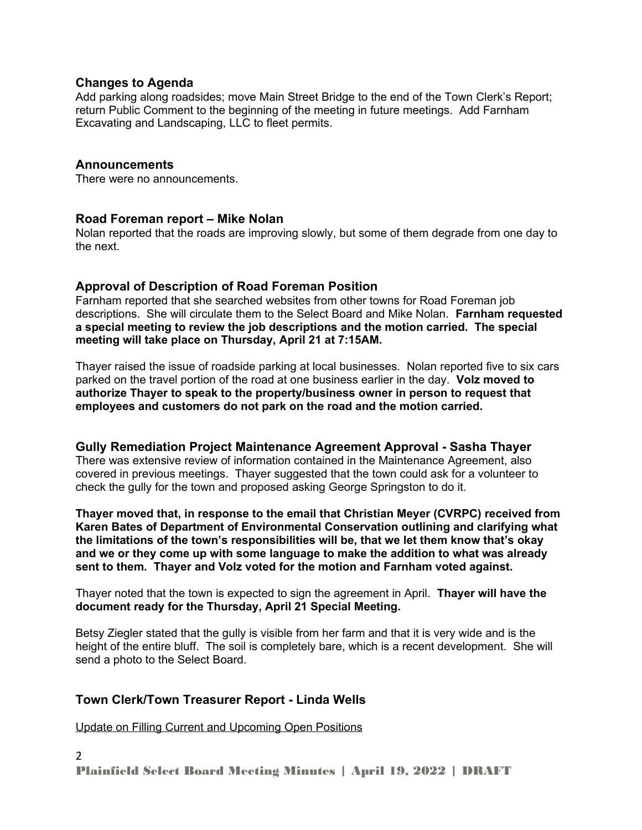### **Changes to Agenda**

Add parking along roadsides; move Main Street Bridge to the end of the Town Clerk's Report; return Public Comment to the beginning of the meeting in future meetings. Add Farnham Excavating and Landscaping, LLC to fleet permits.

### **Announcements**

There were no announcements.

#### **Road Foreman report – Mike Nolan**

Nolan reported that the roads are improving slowly, but some of them degrade from one day to the next.

### **Approval of Description of Road Foreman Position**

Farnham reported that she searched websites from other towns for Road Foreman job descriptions. She will circulate them to the Select Board and Mike Nolan. **Farnham requested a special meeting to review the job descriptions and the motion carried. The special meeting will take place on Thursday, April 21 at 7:15AM.**

Thayer raised the issue of roadside parking at local businesses. Nolan reported five to six cars parked on the travel portion of the road at one business earlier in the day. **Volz moved to authorize Thayer to speak to the property/business owner in person to request that employees and customers do not park on the road and the motion carried.** 

## **Gully Remediation Project Maintenance Agreement Approval - Sasha Thayer**

There was extensive review of information contained in the Maintenance Agreement, also covered in previous meetings. Thayer suggested that the town could ask for a volunteer to check the gully for the town and proposed asking George Springston to do it.

**Thayer moved that, in response to the email that Christian Meyer (CVRPC) received from Karen Bates of Department of Environmental Conservation outlining and clarifying what the limitations of the town's responsibilities will be, that we let them know that's okay and we or they come up with some language to make the addition to what was already sent to them. Thayer and Volz voted for the motion and Farnham voted against.** 

Thayer noted that the town is expected to sign the agreement in April. **Thayer will have the document ready for the Thursday, April 21 Special Meeting.**

Betsy Ziegler stated that the gully is visible from her farm and that it is very wide and is the height of the entire bluff. The soil is completely bare, which is a recent development. She will send a photo to the Select Board.

## **Town Clerk/Town Treasurer Report - Linda Wells**

Update on Filling Current and Upcoming Open Positions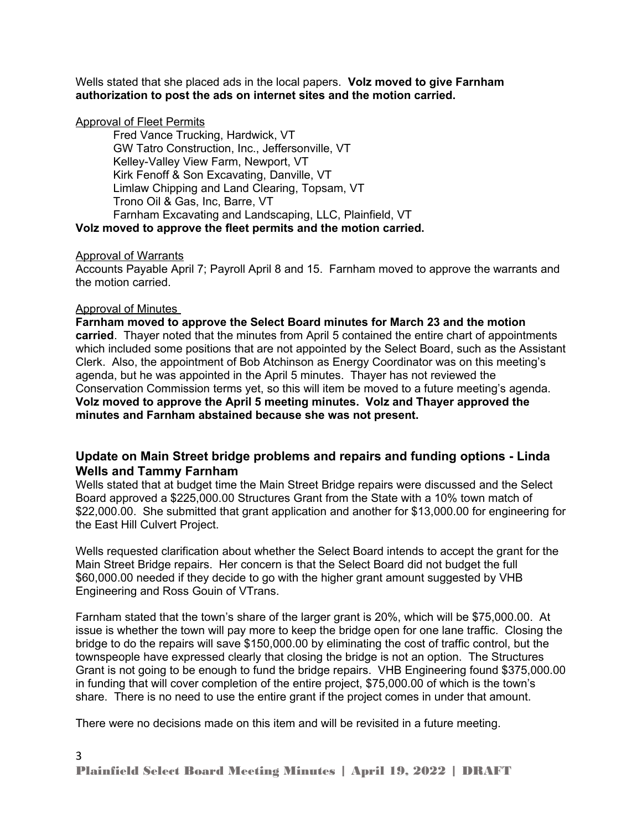Wells stated that she placed ads in the local papers. **Volz moved to give Farnham authorization to post the ads on internet sites and the motion carried.** 

#### Approval of Fleet Permits

Fred Vance Trucking, Hardwick, VT GW Tatro Construction, Inc., Jeffersonville, VT Kelley-Valley View Farm, Newport, VT Kirk Fenoff & Son Excavating, Danville, VT Limlaw Chipping and Land Clearing, Topsam, VT Trono Oil & Gas, Inc, Barre, VT Farnham Excavating and Landscaping, LLC, Plainfield, VT **Volz moved to approve the fleet permits and the motion carried.** 

#### Approval of Warrants

Accounts Payable April 7; Payroll April 8 and 15. Farnham moved to approve the warrants and the motion carried.

#### Approval of Minutes

**Farnham moved to approve the Select Board minutes for March 23 and the motion carried**. Thayer noted that the minutes from April 5 contained the entire chart of appointments which included some positions that are not appointed by the Select Board, such as the Assistant Clerk. Also, the appointment of Bob Atchinson as Energy Coordinator was on this meeting's agenda, but he was appointed in the April 5 minutes. Thayer has not reviewed the Conservation Commission terms yet, so this will item be moved to a future meeting's agenda. **Volz moved to approve the April 5 meeting minutes. Volz and Thayer approved the minutes and Farnham abstained because she was not present.** 

### **Update on Main Street bridge problems and repairs and funding options - Linda Wells and Tammy Farnham**

Wells stated that at budget time the Main Street Bridge repairs were discussed and the Select Board approved a \$225,000.00 Structures Grant from the State with a 10% town match of \$22,000.00. She submitted that grant application and another for \$13,000.00 for engineering for the East Hill Culvert Project.

Wells requested clarification about whether the Select Board intends to accept the grant for the Main Street Bridge repairs. Her concern is that the Select Board did not budget the full \$60,000.00 needed if they decide to go with the higher grant amount suggested by VHB Engineering and Ross Gouin of VTrans.

Farnham stated that the town's share of the larger grant is 20%, which will be \$75,000.00. At issue is whether the town will pay more to keep the bridge open for one lane traffic. Closing the bridge to do the repairs will save \$150,000.00 by eliminating the cost of traffic control, but the townspeople have expressed clearly that closing the bridge is not an option. The Structures Grant is not going to be enough to fund the bridge repairs. VHB Engineering found \$375,000.00 in funding that will cover completion of the entire project, \$75,000.00 of which is the town's share. There is no need to use the entire grant if the project comes in under that amount.

There were no decisions made on this item and will be revisited in a future meeting.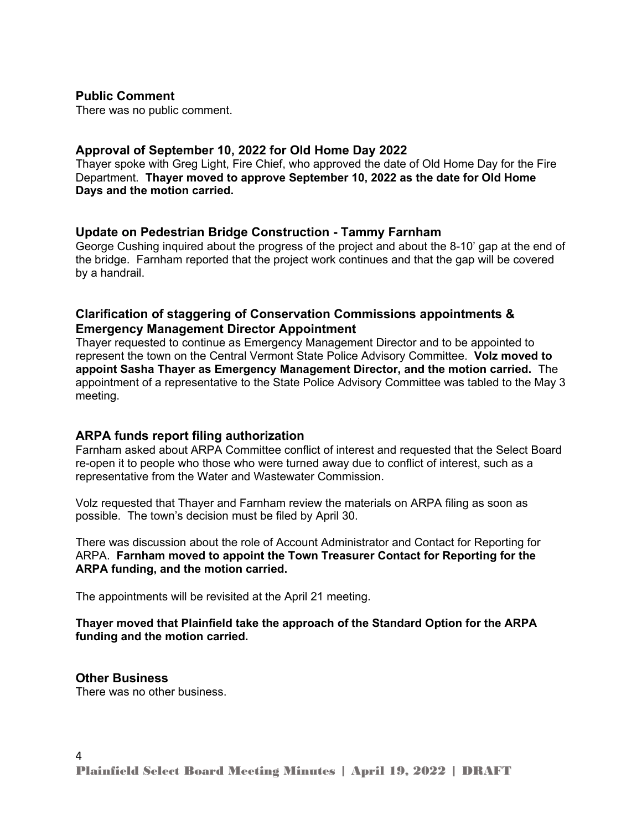#### **Public Comment**

There was no public comment.

### **Approval of September 10, 2022 for Old Home Day 2022**

Thayer spoke with Greg Light, Fire Chief, who approved the date of Old Home Day for the Fire Department. **Thayer moved to approve September 10, 2022 as the date for Old Home Days and the motion carried.**

#### **Update on Pedestrian Bridge Construction - Tammy Farnham**

George Cushing inquired about the progress of the project and about the 8-10' gap at the end of the bridge. Farnham reported that the project work continues and that the gap will be covered by a handrail.

### **Clarification of staggering of Conservation Commissions appointments & Emergency Management Director Appointment**

Thayer requested to continue as Emergency Management Director and to be appointed to represent the town on the Central Vermont State Police Advisory Committee. **Volz moved to appoint Sasha Thayer as Emergency Management Director, and the motion carried.** The appointment of a representative to the State Police Advisory Committee was tabled to the May 3 meeting.

#### **ARPA funds report filing authorization**

Farnham asked about ARPA Committee conflict of interest and requested that the Select Board re-open it to people who those who were turned away due to conflict of interest, such as a representative from the Water and Wastewater Commission.

Volz requested that Thayer and Farnham review the materials on ARPA filing as soon as possible. The town's decision must be filed by April 30.

There was discussion about the role of Account Administrator and Contact for Reporting for ARPA. **Farnham moved to appoint the Town Treasurer Contact for Reporting for the ARPA funding, and the motion carried.** 

The appointments will be revisited at the April 21 meeting.

#### **Thayer moved that Plainfield take the approach of the Standard Option for the ARPA funding and the motion carried.**

#### **Other Business**

There was no other business.